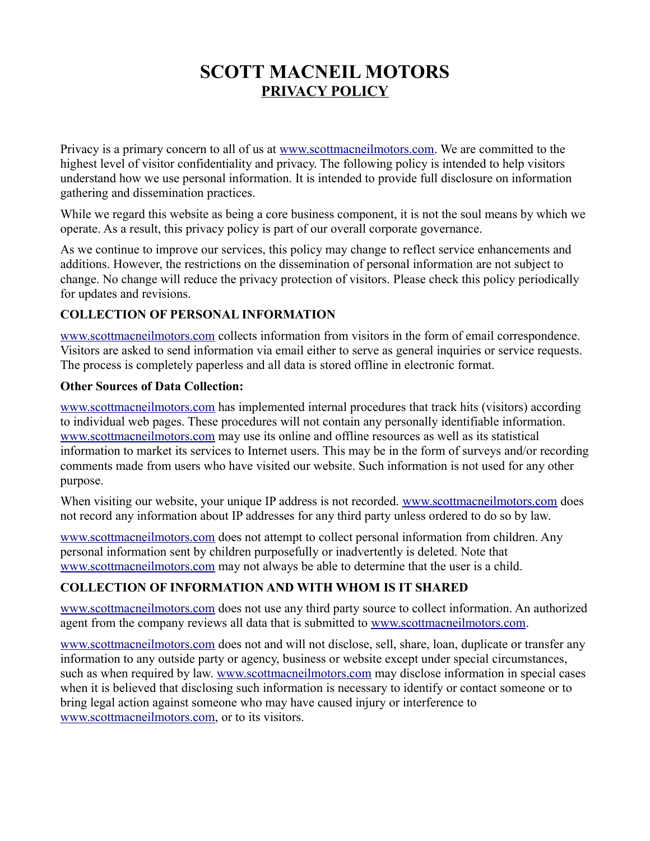# **SCOTT MACNEIL MOTORS PRIVACY POLICY**

Privacy is a primary concern to all of us at [www.scottmacneilmotors.com.](https://scottmacneilmotors.com/) We are committed to the highest level of visitor confidentiality and privacy. The following policy is intended to help visitors understand how we use personal information. It is intended to provide full disclosure on information gathering and dissemination practices.

While we regard this website as being a core business component, it is not the soul means by which we operate. As a result, this privacy policy is part of our overall corporate governance.

As we continue to improve our services, this policy may change to reflect service enhancements and additions. However, the restrictions on the dissemination of personal information are not subject to change. No change will reduce the privacy protection of visitors. Please check this policy periodically for updates and revisions.

#### **COLLECTION OF PERSONAL INFORMATION**

[www.scottmacneilmotors.com](https://scottmacneilmotors.com/) collects information from visitors in the form of email correspondence. Visitors are asked to send information via email either to serve as general inquiries or service requests. The process is completely paperless and all data is stored offline in electronic format.

#### **Other Sources of Data Collection:**

[www.scottmacneilmotors.com](https://scottmacneilmotors.com/) has implemented internal procedures that track hits (visitors) according to individual web pages. These procedures will not contain any personally identifiable information. [www.scottmacneilmotors.com](https://scottmacneilmotors.com/) may use its online and offline resources as well as its statistical information to market its services to Internet users. This may be in the form of surveys and/or recording comments made from users who have visited our website. Such information is not used for any other purpose.

When visiting our website, your unique IP address is not recorded. [www.scottmacneilmotors.com](https://scottmacneilmotors.com/) does not record any information about IP addresses for any third party unless ordered to do so by law.

[www.scottmacneilmotors.com](https://scottmacneilmotors.com/) does not attempt to collect personal information from children. Any personal information sent by children purposefully or inadvertently is deleted. Note that [www.scottmacneilmotors.com](https://scottmacneilmotors.com/) may not always be able to determine that the user is a child.

### **COLLECTION OF INFORMATION AND WITH WHOM IS IT SHARED**

[www.scottmacneilmotors.com](https://scottmacneilmotors.com/) does not use any third party source to collect information. An authorized agent from the company reviews all data that is submitted to [www.scottmacneilmotors.com.](https://scottmacneilmotors.com/)

[www.scottmacneilmotors.com](https://scottmacneilmotors.com/) does not and will not disclose, sell, share, loan, duplicate or transfer any information to any outside party or agency, business or website except under special circumstances, such as when required by law. [www.scottmacneilmotors.com](https://scottmacneilmotors.com/) may disclose information in special cases when it is believed that disclosing such information is necessary to identify or contact someone or to bring legal action against someone who may have caused injury or interference to [www.scottmacneilmotors.com,](https://scottmacneilmotors.com/) or to its visitors.